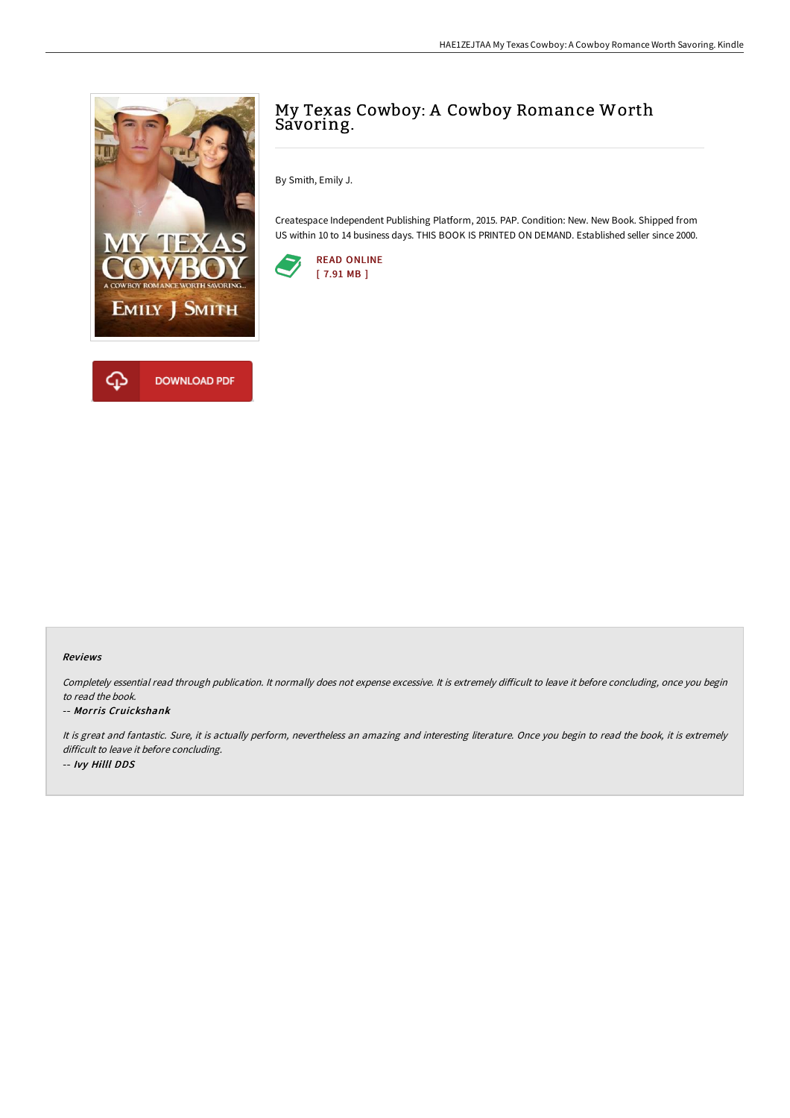

# My Texas Cowboy: A Cowboy Romance Worth Savoring.

By Smith, Emily J.

Createspace Independent Publishing Platform, 2015. PAP. Condition: New. New Book. Shipped from US within 10 to 14 business days. THIS BOOK IS PRINTED ON DEMAND. Established seller since 2000.



#### Reviews

Completely essential read through publication. It normally does not expense excessive. It is extremely difficult to leave it before concluding, once you begin to read the book.

#### -- Morris Cruickshank

It is great and fantastic. Sure, it is actually perform, nevertheless an amazing and interesting literature. Once you begin to read the book, it is extremely difficult to leave it before concluding. -- Ivy Hilll DDS